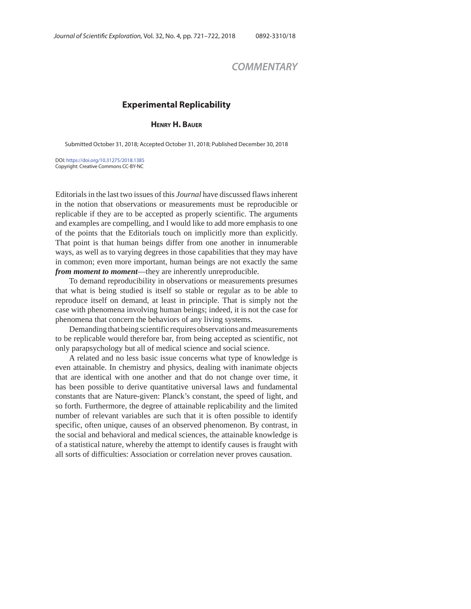## *COMMENTARY*

## **Experimental Replicability**

**HENRY H. BAUER**

Submitted October 31, 2018; Accepted October 31, 2018; Published December 30, 2018

DOI: https://doi.org/10.31275/2018.1385 Copyright: Creative Commons CC-BY-NC

Editorials in the last two issues of this *Journal* have discussed flaws inherent in the notion that observations or measurements must be reproducible or replicable if they are to be accepted as properly scientific. The arguments and examples are compelling, and I would like to add more emphasis to one of the points that the Editorials touch on implicitly more than explicitly. That point is that human beings differ from one another in innumerable ways, as well as to varying degrees in those capabilities that they may have in common; even more important, human beings are not exactly the same *from moment to moment*—they are inherently unreproducible.

To demand reproducibility in observations or measurements presumes that what is being studied is itself so stable or regular as to be able to reproduce itself on demand, at least in principle. That is simply not the case with phenomena involving human beings; indeed, it is not the case for phenomena that concern the behaviors of any living systems.

Demanding that being scientific requires observations and measurements to be replicable would therefore bar, from being accepted as scientific, not only parapsychology but all of medical science and social science.

A related and no less basic issue concerns what type of knowledge is even attainable. In chemistry and physics, dealing with inanimate objects that are identical with one another and that do not change over time, it has been possible to derive quantitative universal laws and fundamental constants that are Nature-given: Planck's constant, the speed of light, and so forth. Furthermore, the degree of attainable replicability and the limited number of relevant variables are such that it is often possible to identify specific, often unique, causes of an observed phenomenon. By contrast, in the social and behavioral and medical sciences, the attainable knowledge is of a statistical nature, whereby the attempt to identify causes is fraught with all sorts of difficulties: Association or correlation never proves causation.